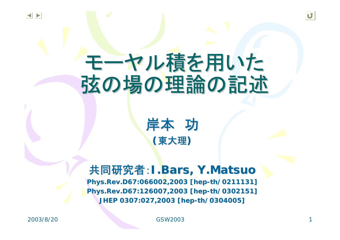# モーヤル積を用いた 弦の場の理論の記述 弦の場の理論の記述



## 共同研究者:**I.Bars, Y.Matsuo Y.Matsuo**

**Phys.Rev. ys.Rev. D67:066002, 67:066002,2003 [hep 2003 [hep-th/0211131] /0211131] Phys.Rev. ys.Rev. D67:126007, 67:126007,2003 [hep 2003 [hep-th/0302151] /0302151] JHEP 0307:027, JHEP 0307:027,2003 [hep 2003 [hep-th/0304005] /0304005]**

2003/8/20 GSW2003 1

U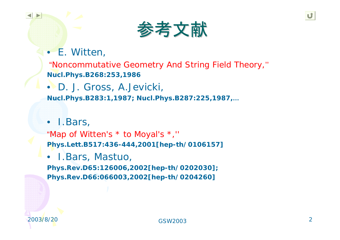• E. Witten,

"Noncommutative Geometry And String Field Theory,'' **Nucl.Phys.B268:253,1986**

• D. J. Gross, A.Jevicki, **Nucl.Phys.B283:1,1987; Nucl.Phys.B287:225,1987,…**

• I.Bars,

"Map of Witten's \* to Moyal's \*,'' **Phys.Lett.B517:436-444,2001[hep-th/0106157]**

•I.Bars, Mastuo,

**Phys.Rev.D65:126006,2002[hep-th/0202030]; Phys.Rev.D66:066003,2002[hep-th/0204260]**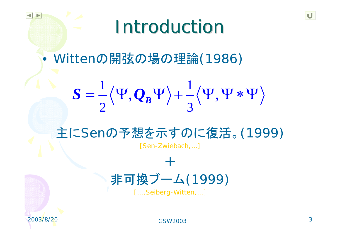# **Introduction**

 $\bullet$ Wittenの開弦の場の理論(1986)

$$
S = \frac{1}{2} \langle \Psi, Q_B \Psi \rangle + \frac{1}{3} \langle \Psi, \Psi * \Psi \rangle
$$

## 主にSenの予想を示すのに復活。(1999)

[Sen-Zwiebach,…]

+

# 非可換ブーム(1999)

[...,Seiberg-Witten,...]

 GSW2003 $3 \hspace{2.5cm} 3$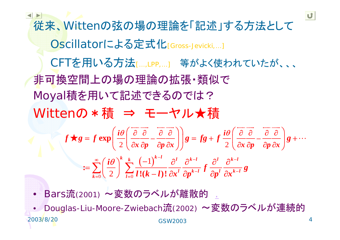従来、Wittenの弦の場の理論を「記述」する方法として Oscillatorによる定式化[Gross-Jevicki,...] CFTを用いる方法[…,LPP,…] 等がよく使われていたが、、、 非可換空間上の場の理論の拡張・類似で Moyal積を用いて記述できるのでは? Wittenの \* 積 ⇒ モーヤル★積  $(-1)$  $0 \vee \angle$  /  $l=0$  $2 \left( \frac{\partial x}{\partial p} \frac{\partial p}{\partial x} \frac{\partial x}{\partial x} \right)$  2 1 2**exp**  $\mathrel{\mathop:}= \sum_{k=0}$   $\left(\frac{-}{2}\right)$   $\sum_{l=0}$   $\frac{1}{l!(k-l)!}$  $k \ k \left( 1 \right)^{k-l} \quad \left( \begin{array}{ccc} 1 & k \end{array} \right)^{k-l} \quad \left( \begin{array}{ccc} 1 & k \end{array} \right)^{k-l}$  $l$   $\Omega$ <sub>*k</sub>*  $l$   $J$   $\Omega$ <sub>*k*</sub>  $l$   $\Omega$ <sub>*k*</sub>  $k$ </sub>  $k=0$   $\leq$   $\neq$   $\neq$   $\neq$   $\neq$   $\neq$  $i\theta$  |  $\partial$   $\partial$   $\partial$  |  $\partial$  |  $\partial$  |  $\partial$  |  $\partial$  |  $\partial$  |  $\partial$  |  $\partial$  |  $\partial$  |  $\partial$  |  $\partial$  |  $\partial$  |  $\partial$  |  $\partial$  |  $\partial$  |  $\partial$  |  $\partial$  |  $\partial$  |  $\partial$  |  $\partial$  |  $\partial$  |  $\partial$  |  $\partial$  |  $\partial$  |  $\partial$  |  $\partial$  |  $\partial$  |  $\partial$  |  $\partial$  | *x cp cp x j j*  $\frac{1}{2}$   $\frac{1}{2}$   $\frac{1}{2}$   $\frac{1}{2}$   $\frac{1}{2}$   $\frac{1}{2}$   $\frac{1}{2}$   $\frac{1}{2}$   $\frac{1}{2}$  $f \star g = f \exp \left| \frac{f \star g}{g} \right| = \frac{g \star g}{g} - \frac{g \star g}{g} = -\frac{g \star g}{g} = -\frac{g \star g}{g} = -\frac{g \star g}{g} = -\frac{g \star g}{g} = -\frac{g \star g}{g} = -\frac{g \star g}{g} = -\frac{g \star g}{g} = -\frac{g \star g}{g} = -\frac{g \star g}{g} = -\frac{g \star g}{g} = -\frac{g \star g}{g} = -\frac{g \star g}{g} = -\frac{g \star g}{g} = -\frac{g \star g}{g} = -\frac{g$ *i* $\int_{0}^{\infty}$   $\int_{0}^{\infty}$   $\int_{0}^{\infty}$   $\int_{0}^{\infty}$   $\int_{0}^{\infty}$   $\int_{0}^{\infty}$   $\int_{0}^{\infty}$   $\int_{0}^{\infty}$   $\int_{0}^{\infty}$   $\int_{0}^{\infty}$   $\int_{0}^{\infty}$   $\int_{0}^{\infty}$   $\int_{0}^{\infty}$   $\int_{0}^{\infty}$   $\int_{0}^{\infty}$   $\int_{0}^{\infty}$   $\int_{0}^{\infty}$   $\theta(\overrightarrow{\partial}\overrightarrow{\partial}$   $\overrightarrow{\partial})$   $\theta(\overrightarrow{\partial}\overrightarrow{\partial}$   $\overrightarrow{\partial}$ θ " ∞  $(\cdot; \mathbf{z})^k$  k  $(\mathbf{z}^k)^{n-1}$  al ak-l al ak-− <sup>−</sup> <sup>=</sup> ∂ ∂ ∂ ∂ ∂ ∂ ∂ ∂  $\frac{\partial}{\partial x} \frac{\partial}{\partial p} - \frac{\partial}{\partial y} \frac{\partial}{\partial x} + \frac{\partial}{\partial z} \frac{\partial}{\partial y} - \frac{\partial}{\partial z} \frac{\partial}{\partial z} + \frac{\partial}{\partial z} \frac{\partial}{\partial z} - \frac{\partial}{\partial z} \frac{\partial}{\partial z} + \frac{\partial}{\partial z} \frac{\partial}{\partial z} + \frac{\partial}{\partial z} \frac{\partial}{\partial z} + \frac{\partial}{\partial z} \frac{\partial}{\partial z} + \frac{\partial}{\partial z} \frac{\partial}{\partial z} + \frac{\partial}{\partial z} \frac{\partial}{\partial z} + \frac{\partial}{\partial z} \frac$  $(i\theta(\vec{\theta} \vec{\theta} \vec{\theta} \vec{\theta}))$   $(i\theta(\vec{\theta} \vec{\theta} \vec{\theta})$ = $\bigstar g = f \exp \left( \frac{\omega}{2} \left( \frac{\partial}{\partial x} \frac{\partial}{\partial p} - \frac{\partial}{\partial p} \frac{\partial}{\partial x} \right) \right) g = fg + f \frac{\omega}{2} \left( \frac{\partial}{\partial x} \frac{\partial}{\partial p} - \frac{\partial}{\partial p} \frac{\partial}{\partial x} \right) g +$  $=\sum_{k=0}^{\infty}\left(\frac{i\theta}{2}\right)^k\sum_{k=0}^{k}\frac{(-1)^{k-1}}{\theta^k}\frac{\partial^l}{\partial t^k}\frac{\partial^l}{\partial t^k}\frac{\partial^l}{\partial t^k}+\frac{\partial^l}{\partial t^l}\frac{\partial^l}{\partial t^l}$  $=\sum_{k=0}\left(\frac{10}{2}\right)\sum_{l=0}\frac{(11)}{l!(k-l)!}\frac{0}{\partial x^{l}}\frac{0}{\partial p^{k-l}}f\frac{0}{\partial p^{l}}\frac{0}{\partial p^{l}}$ 

• Bars流(2001) ~変数のラベルが離散的 .

2003/8/20 GSW2003 $\frac{1}{3}$  and  $\frac{1}{4}$ •Douglas-Liu-Moore-Zwiebach流(2002) ~変数のラベルが連続的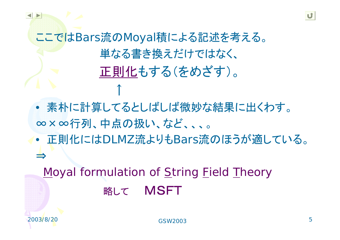ここではBars流のMoyal積による記述を考える。 単なる書き換えだけではなく、 正則化もする(をめざす)。

↑

• 素朴に計算してるとしばしば微妙な結果に出くわす。 ∞×∞行列、中点の扱い、など、、、。

• 正則化にはDLMZ流よりもBars流のほうが適している。 ⇒

Moyal formulation of String Field Theory 略して MSFT

 GSW2003 $\overline{3}$  5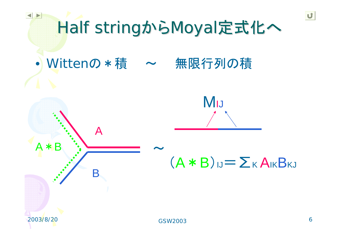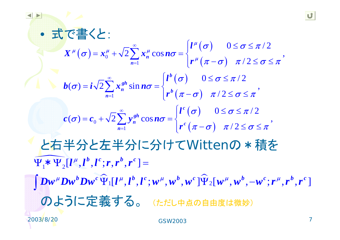$\bullet$  式で書くと: と右半分と左半分に分けてWittenの\*積を のように定義する。 (ただし中点の自由度は微妙)  $\sigma(\sigma) = x_0^{\mu} + \sqrt{2} \sum_{n=1}^{\infty} x_n^{\mu} \cos n\sigma = \begin{cases} l^{\mu}(\sigma) \\ r^{\mu}(\pi - \sigma) \end{cases}$  $\big( \sigma \big)$  $\int_{1}^{n}$   $\int_{1}^{n} (\pi - \sigma)$  $\big( \sigma \big)$  $\int_{0}^{\infty} \int_{0}^{\infty} \frac{\sqrt{2}}{n} e^{i\theta} d\theta$   $\left| r^{c} \left( \pi - \sigma \right) \right|$ 0  $\sqrt{2}$   $\frac{1}{n=1}$  $\overline{2} \sum_{n=1}^{\infty} x_n^{\mu} \cos n\sigma = \begin{cases} l^{\mu}(\sigma) & 0 \leq \sigma \leq \pi/2 \ r^{\mu}(\pi - \sigma) & \pi/2 \leq \sigma \leq \pi \end{cases}$  $\hat{\sigma}(\sigma) = i\sqrt{2} \sum_{n=0}^{\infty} x_n^{gh} \sin n\sigma = \begin{cases} l^{p}(\sigma) & 0 \leq \sigma \leq \pi/2 \\ l^{p}(\sigma) & \end{cases}$ / 2  $\sigma(\sigma) = c_0 + \sqrt{2} \sum_{n=0}^{\infty} y_n^{sh} \cos n\sigma = \begin{cases} l^c(\sigma) & 0 \le \sigma \le \pi/2 \\ l^c(\sigma) & . \end{cases}$ / 2 *n n b gh*  $\sum_{n=1}^{\infty}$   $\binom{n}{n}$  **b** *c gh*  $\sum_{n=1}$   $\binom{n}{n}$  **c**  $X^{\mu}(\sigma) = x_0^{\mu} + \sqrt{2} \sum_{n=1}^{\infty} x_n^{\mu} \cos n\sigma = \begin{cases} l \end{cases}$ *r*  $\boldsymbol{b}(\boldsymbol{\sigma}) = \boldsymbol{i} \sqrt{2} \sum_{n=1}^{\infty} x_n^{gh} \sin n\boldsymbol{\sigma} = \begin{cases} l \end{cases}$ *r l*  $c(\sigma) = c_0 + \sqrt{2} \sum y_n^{s} \cos n$ *r*  $\boldsymbol{\mu}$  $\mu$  |  $\rightarrow$  |  $\mu$  |  $\rightarrow$  |  $\rightarrow$  |  $\mu$  $\boldsymbol{\mu}$  $\sigma$   $0 \leq \sigma \leq \pi$  $\sigma$  =  $x_0^2$  +  $\sqrt{2}$  >  $x_0^2$  cos n $\sigma$  $\pi-\sigma$   $\pi$  /  $2 \leq \sigma \leq \pi$  $\sigma$   $0 \leq \sigma \leq \pi$  $\sigma$ ) =  $\iota \sqrt{2}$  >  $x^{\circ}$  sin  $n\sigma$  $\pi-\sigma$ )  $\pi$  /  $\angle$   $\leq$   $\sigma$   $\leq$   $\pi$  $\sigma$   $0 \leq \sigma \leq \pi$  $\sigma$ ) =  $c_0$  +  $\sqrt{2}$  >  $v^{\text{av}}$  cos n $\sigma$  $\pi-\sigma$  )  $\pi$  /  $2 \le \sigma \le \pi$ ∞ = ∞ = ∞ =  $=\mathbf{r}^{\mu}+\sqrt{2}\sum^{\infty}\mathbf{r}^{\mu}\cos n\sigma=\begin{cases}l^{\mu}(\sigma)&0\leq\sigma\leq\end{cases}$  $+\sqrt{2}\sum_{n=1}^{\infty}x_n^{\mu}\cos n\sigma = \begin{cases} e^{-\sqrt{2}} & \text{if } n=1,2 \leq \sigma \leq 1 \end{cases}$  $=i\sqrt{2}\sum_{k=1}^{\infty}r^{gh}\sin n\sigma=$   $\begin{cases}l^{b}(\sigma) & 0\leq\sigma\leq l\end{cases}$  $\sum_{n=1} x_n^{gh} \sin n\sigma = \begin{cases} \mathbf{r}^{(0)} & \text{if } 0 \leq x \leq 1 \\ \mathbf{r}^{(b)}(\pi - \sigma) & \text{if } 0 \leq x \leq 1 \end{cases}$  $=\mathbf{c} + \sqrt{2} \sum_{n=1}^{\infty} v^{gh} \cos n\sigma = \begin{cases} l^{c}(\sigma) & 0 \leq \sigma \leq l \end{cases}$  $+\sqrt{2}\sum_{n=1} y_n^{gh} \cos n\sigma = \begin{cases} e^{-(\sigma)} & \text{if } \sigma = 0 \\ r^c(\pi - \sigma) & \text{if } \sigma \leq 0 \end{cases}$ <u>na manazarta da sensitivo de la conte</u>  $\mathbf{\Psi}_{1}^{*}\mathbf{\ast}\mathbf{\Psi}_{2}^{*}[{\bm l}^{\mu}, {\bm l}^b, {\bm l}^c; {\bm r}, {\bm r}^b, {\bm r}^c] =$  $\widehat{\mathbf{u}}$   $\Box$   $\mu$   $\mu$   $\mathbf{v}$  .  $\mu$   $\mu$   $\mu$   $\mathbf{v}$   $\Box$  $\bm{D}\bm{w}^{\mu}\bm{D}\bm{w}^{\bm{b}}\bm{D}\bm{w}^{\bm{c}}\bm{\Psi}_{1}[\bm{l}^{\mu},\bm{l}^{\bm{b}},\bm{l}^{\bm{c}};\bm{w}^{\mu},\bm{w}^{\bm{b}},\bm{w}^{\bm{c}}\,]\bm{\Psi}_{2}[\bm{w}^{\mu},\bm{w}^{\bm{b}},-\bm{w}^{\bm{c}};\bm{r}^{\mu},\bm{r}^{\bm{b}},\bm{r}^{\bm{c}}]$  $\int$ Dw<sup>u</sup>Dw<sup>o</sup>Dw<sup>c</sup> $\widehat{\Psi}_1[l^\mu,l^b,l^c;w^\mu,w^b,w^c]\widehat{\Psi}_2[w^\mu,w^b,$  $\mathbf{\Psi}_1[\bm{l}^{\mu},\bm{l}^{\nu},\bm{l}^c\,;\bm{w}^{\mu},\bm{w}^{\nu},\bm{w}^c\,]\mathbf{\Psi}_2[\bm{w}^{\mu},\bm{w}^{\nu},-\bm{w}^c\,;\bm{r}^{\mu},\bm{r}^{\nu},\bm{r}^c\,]$ 

2003/8/20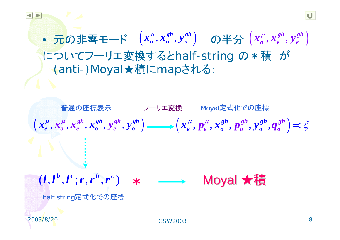$\bullet$ • 元の非零モード  $\left( x_{\scriptscriptstyle n}^{\mu}, x_{\scriptscriptstyle n}^{sh}, y_{\scriptscriptstyle n}^{sh} \right)$  の半分 $\left( x_{\scriptscriptstyle \sigma}^{\mu}, x_{\scriptscriptstyle e}^{sh}, y_{\scriptscriptstyle e}^{sh} \right)$ についてフーリエ変換するとhalf-string の\*積 が (anti-)Moyal★積にmapされる:



2003/8/20

 GSW2003 $\overline{\textbf{3}}$  8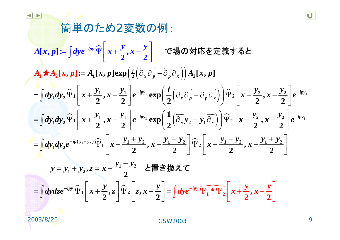#### 簡単のため2変数の例:  $\overline{\phantom{a}}$  $[x, p] \coloneqq | dy e^{-\iota p y} \Psi | x + \frac{\nu}{2},$  $A_1 \star A_2[x, p] \coloneqq A_1[x, p] \exp \left( \frac{i}{2} \left( \overrightarrow{\partial_x} \overrightarrow{\partial_p} - \overrightarrow{\partial_p} \overrightarrow{\partial_x} \right) \right) A_2[x, p]$  $\widehat{\Psi}_1\left(x+\frac{y_1}{2},x-\frac{y_1}{2}\right)e^{-ipy_1}\exp\left(\frac{l}{2}\left(\overline{\partial_x}\overline{\partial_p}-\overline{\partial_p}\overline{\partial_x}\right)\right)\widehat{\Psi}_1$  $\sim$  $\int dy_1 dy_2 \hat{\Psi}_1 \left(x + \frac{y_1}{2}, x - \frac{y_1}{2}\right) e^{-ipy_1} \exp\left(\frac{1}{2}(\overline{\partial}_x y_2 - y_1 \overline{\partial}_x)\right) \hat{\Psi}_1$ **1 2 1 1 2 2**  $\left[ \frac{a_1}{2} + 1 \right] x_1 + \frac{b_1}{2} x_2 + \frac{c_1}{2} x_1 + \frac{c_1}{2} x_2 + \frac{c_1}{2} x_1 + \frac{c_1}{2} x_1 + \frac{c_1}{2} x_1 + \frac{c_1}{2} x_1 + \frac{c_1}{2} x_1 + \frac{c_1}{2} x_1 + \frac{c_1}{2} x_1 + \frac{c_1}{2} x_1 + \frac{c_1}{2} x_1 + \frac{c_1}{2} x_1 + \frac{c_1}{2} x_1 + \frac{c_1}{2} x_1 + \frac{$  $\frac{1}{2}$ ,  $x - \frac{1}{2}$   $\left| e^{-\frac{1}{2}x}\right| \exp\left(\frac{-}{2}(\frac{C_xC_p}{C_x}-\frac{C_pC_x}{C_x})\right)$   $\left| \frac{1}{2}x + \frac{1}{2}, x - \frac{1}{2}x \right|$ **22** $\mathbf{A}[x, p] \coloneqq \left[ dy e^{-ipy} \widehat{\Psi} \mid x + \frac{y}{z}, x - \frac{y}{z} \right]$  $\frac{ipy_1}{2}$  *ipy*  $\frac{1}{2}$   $\frac{1}{2}$   $\frac{1}{2}$   $\frac{1}{2}$   $\frac{1}{2}$   $\frac{1}{2}$   $\frac{1}{2}$   $\frac{1}{2}$   $\frac{1}{2}$   $\frac{1}{2}$   $\frac{1}{2}$   $\frac{1}{2}$   $\frac{1}{2}$   $\frac{1}{2}$   $\frac{1}{2}$  $=\int dy_1 dy_2 \hat{\Psi}_1\left[x+\frac{y_1}{2},x-\frac{y_1}{2}\right]e^{-ipy_1}\exp\left(\frac{i}{2}(\overline{\partial_x}\overline{\partial_p}-\overline{\partial_p}\overline{\partial_x})\right)\hat{\Psi}_2\left[x+\frac{y_2}{2},x-\frac{y_2}{2}\right]e^{-y_1}$  $=\int\!d\mathbf{v}e^{-ip\mathbf{v}}\,\widehat{\Psi}\left[x+\frac{\mathbf{y}}{x},x-\frac{\mathbf{y}}{x}\right]$  $\int$ dye<sup>-ipy</sup>  $\widehat{\Psi}$   $x + \frac{y}{2}, x - \frac{y}{2}$  $\left\|e^{-ipy}\Psi\right\|x+\frac{y}{x},x-\frac{y}{x}\left\|v\right\|>0$ で場の対応を定義すると  $\mathbf{Y}_1 + \mathbf{Y}_2 + \mathbf{Y}_1 + \mathbf{Y}_2 + \mathbf{Y}_2 + \mathbf{Y}_3 - \mathbf{Y}_1 - \mathbf{Y}_2 + \mathbf{Y}_3 - \mathbf{Y}_1 - \mathbf{Y}_2 + \mathbf{Y}_2 - \mathbf{Y}_2 - \mathbf{Y}_3 - \mathbf{Y}_1 + \mathbf{Y}_2$ **1 a**  $\mathbf{v} = \mathbf{v} = \mathbf{v} = \mathbf{v} = \mathbf{v} = \mathbf{v} = \mathbf{v} = \mathbf{v} = \mathbf{v} = \mathbf{v} = \mathbf{v} = \mathbf{v} = \mathbf{v} = \mathbf{v} = \mathbf{v} = \mathbf{v} = \mathbf{v} = \mathbf{v} = \mathbf{v} = \mathbf{v} = \mathbf{v} = \mathbf{v} = \mathbf{v} = \mathbf{v} = \mathbf{v} = \mathbf{v} = \mathbf{v} = \mathbf{v} = \mathbf{v} = \mathbf{v} = \math$  $2^{\frac{1}{2}}$   $\binom{1}{x}$   $\binom{1}{x}$  $1^{\frac{1}{2}}$  **1**  $2^{\frac{1}{2}}$  **1**  $1^{\frac{1}{2}}$  **1**  $1^{\frac{1}{2}}$  $\frac{y_1}{2}$ ,  $x - \frac{y_1}{2}$   $e^{-ipy_1}$   $\exp\left(\frac{1}{2}(\overline{\partial}_x y_2 - y_1 \overline{\partial}_x)\right)$   $\widehat{\Psi}_2$   $x + \frac{y_2}{2}$ ,  $x - \frac{y_2}{2}$ **, , 2 2 2 2**  $\lim_{y \to 0}$   $\left| \begin{array}{c} 1 \end{array} \right|$   $\left| \begin{array}{c} 2 \end{array} \right|$   $\left| \begin{array}{c} 1 \end{array} \right|$   $\left| \begin{array}{c} 1 \end{array} \right|$   $\left| \begin{array}{c} y \end{array} \right|$   $\left| \begin{array}{c} y \end{array} \right|$   $\left| \begin{array}{c} -ipy \end{array}$  $\left[x+\frac{y_1}{2}, x-\frac{y_1}{2}\right]e^{-ipy_1}\exp\left(\frac{1}{2}\left(\frac{y_1}{\partial_x}y_2-y_1\right)\frac{y_1}{\partial_x}\right)\hat{\Psi}_2\right]x+\frac{y_2}{2}, x-\frac{y_2}{2}\right]e^{-y_1}$  $\int dy_1 dy_2 e^{-ip(y_1+y_2)} \hat{\Psi}_1 \left[ x + \frac{y_1+y_2}{2}, x - \frac{y_1-y_2}{2} \right] \hat{\Psi}_2 \left[ x - \frac{y_1-y_2}{2}, x - \frac{y_1+y_2}{2} \right]$  $=\int dy_1 dy_2 e^{-ip(y_1+y_2)} \widehat{\Psi}_1\left[x+\frac{y_1+y_2}{2},x-\frac{y_1-y_2}{2}\right] \widehat{\Psi}_2\left[x-\frac{y_1-y_2}{2},x-\frac{y_1+y_2}{2}\right]$  $\left[x+\frac{y_1}{2},x-\frac{y_1}{2}\right]e^{-ipy_1}\exp\left(\frac{1}{2}\left(\overline{\partial}_x y_2-y_1\overline{\partial}_x\right)\right)\widehat{\Psi}_2\right]x+\frac{y_2}{2},x-\frac{y_2}{2}$

$$
y = y_1 + y_2, z = x - \frac{y_1 - y_2}{2} \quad \text{in } \mathbb{B} \neq \mathbb{R}, \mathcal{I}
$$
\n
$$
= \int dy dz e^{-ipy} \widehat{\Psi}_1 \left[ x + \frac{y}{2}, z \right] \widehat{\Psi}_2 \left[ z, x - \frac{y}{2} \right] = \int dy e^{-ipy} \widehat{\Psi}_1 * \Psi_2 \left[ x + \frac{y}{2}, x - \frac{y}{2} \right]
$$

2003/8/20

 GSW2003 $\frac{3}{2}$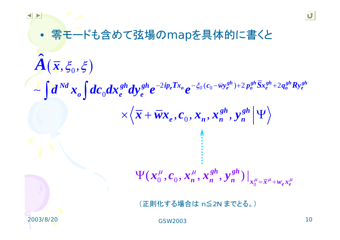#### U 零モードも含めて弦場のmapを具体的に書くと •ˆ $A(\bar{x}, \xi_{0}, \xi)$  $\left(\boldsymbol{\overline{x}},\boldsymbol{\xi}_0,\boldsymbol{\xi}\right)$  $\sim \int d^{N d}x_{o}$  $gh \rightarrow g h \bar{g}$  *gh*  $\bar{g}$  *gh*  $gh \rightarrow ggh$  **p** *gh*  $Tx_{\alpha} = -\xi_0(c_0 - \overline{w}y_{\alpha}^{gh}) + 2p_{\alpha}^{gh}Sx_{\alpha}^{gh} + 2q_{\alpha}^{gh}R$  $d^{Nd}x_{o}^{ } \int d^{c}^{ }_{0}dx_{e}^{sh}dy_{e}^{sh}e^{-2ip_{e}Tx_{o}}e^{-\xi_{0}(c_{0}-\bar{w}y_{e}^{sn})+2\,p_{o}^{sn}Sx_{e}^{sn}+1}$  $N d$  **o**  $A_{\alpha}$   $A_{\alpha}$   $gh$   $A_{\alpha}$ ,  $gh$   $\alpha^{-2ip}e^{Tx}$   $\alpha \alpha^{-\xi_{0}}(c_{0}-\overline{w}y_{e}^{gn})+2p_{0}^{gn}Sx_{e}^{gn}+2q_{0}^{gn}Ry_{e}^{sg}$  $2ip_eTx_o \partial e^{-\xi_0(c_0-\overline{w}y_e^{gn})+2p_o^{gn}Sx_e^{gn}+2}$  $\pmb{0}$ *o* **l**  $\theta$  *e*  $\theta$  *<i>e*  $\theta$ *gh gh*  $\times \langle \overline{x} + \overline{w} x_{e}, c_{0}, x_{n}, x_{n}^{gn}, y_{n}^{gn} | \Psi \rangle$  $, \mathbf{v}_0, \mathbf{w}_n, \mathbf{w}_n$ *e*<sup>,</sup> *v n*, *n*, *n*, *n*, *n*, *n gh gh*  $\left.\Psi(\pmb{x}_{0}^{\mu},\pmb{c}_{0},\pmb{x}_{n}^{\mu},\pmb{x}_{n}^{\bm{gn}},\pmb{y}_{n}^{\bm{gn}})\right|_{\pmb{x}_{0}^{\mu}=\overline{\pmb{x}}^{\mu}+\pmb{w}_{n}\pmb{x}_{n}^{\mu}}$  $\left( \mathbf{x}^{\mu}_0, \mathbf{c}_0, \mathbf{x}^{\mu}_n, \mathbf{x}^{gn}_n, \mathbf{y}^{gn}_n \right)$ 0*e e*(正則化する場合は <sup>n</sup>≦2N までとる。)

GSW2003

 $\frac{1}{3}$  10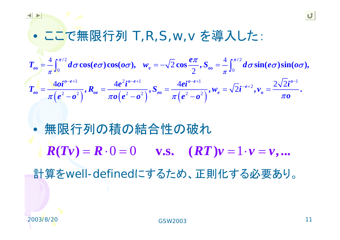ここで無限行列 T,R,S,w,v を導入した:

2 and  $\sqrt{2}$  and  $\sqrt{2}$  and  $\sqrt{2}$  and  $\sqrt{2}$  and  $\sqrt{2}$  and  $\sqrt{2}$  and  $\sqrt{2}$  and  $\sqrt{2}$  and  $\sqrt{2}$  and  $\sqrt{2}$  and  $\sqrt{2}$  and  $\sqrt{2}$  and  $\sqrt{2}$  and  $\sqrt{2}$  and  $\sqrt{2}$  and  $\sqrt{2}$  and  $\sqrt{2}$  and  $\sqrt{2}$  and 0 0  $\sigma$   $\frac{1}{2}$   $\sigma$   $\frac{1}{2}$   $\sigma$   $\frac{1}{2}$   $\sigma$ 4  $\epsilon \pi/2$  4  $\epsilon \pi/2$  4  $2 \cos \frac{\pi i}{2}, S_{eo} = \sim$  */2*  $\sim$  *//2*  $\sim$  *//2*  $\sim$  *//2*  $\sim$  *//2*  $\sim$  *//2*  $\sim$  *//2*  $\sim$  *//2*  $\sim$  *//2*  $\sim$  *//2*  $\sim$  *//2*  $\sim$  *//2*  $\sim$  *//2*  $\sim$  *//2*  $\sim$  *//2*  $\sim$  *//2*  $\sim$  *//2*  $\mathbf{c}_{eo} = -\int_{\mathbb{R}^d} d\sigma \cos(e\sigma) \cos(\sigma\sigma), \quad \mathbf{w}_e = -\sqrt{2} \cos \frac{\sigma\sigma}{2}, \quad \mathbf{S}_{eo} = -\int_{\mathbb{R}^d} d\sigma \sin(e\sigma) \sin(\sigma\sigma),$ *e* $T_a = -\int_0^{\pi/2} d\sigma \cos(e\sigma) \cos(o\sigma)$ ,  $w_a = -\sqrt{2} \cos \frac{e\pi}{2}$ ,  $S_a = -\int_0^{\pi/2} d\sigma \sin(e\sigma) \sin(o\sigma)$ π π  $=$   $-\int_{0}^{\pi/2} d\sigma \cos(e\sigma) \cos(\omega \sigma)$ ,  $w_{s} = -\sqrt{2} \cos \frac{e\pi}{2}$ ,  $S_{ss} = -\int_{0}^{\pi/2} d\sigma \sin(e\sigma) \sin(\omega \sigma)$  $\int_0^{\pi/2} d\sigma \cos(e\sigma) \cos(\omega \sigma), \quad w_e = -\sqrt{2} \cos \frac{e\pi}{2}, S_{eo} = -\int_0^{\pi/2} d\sigma \cos(\omega \sigma)$ 

 $\left( \pmb{e}^{\,2} - \pmb{o}^{\,2} \right)$ <sup>,  $\blacktriangleleft$ </sup> oe  $\pi\pmb{o}\left( \pmb{e}^{\,2} - \pmb{o}^{\,2} \right)$ ,  $\blacktriangleright$   $\qquad \pmb{e}$ o  $\pi\left( \pmb{e}^{\,2} - \pmb{o}^{\,2} \right)$ 1  $A = 2 \cdot 0 - e + 1$   $A = 2 \cdot 0 - e + 1$   $A = 2 \cdot 0 - e + 1$   $A = 2 \cdot 0 - e + 1$ 2 2 2 2  $\frac{2}{2}$  2 2 2 2  $\frac{2}{2}$  2 2 2  $\frac{4\mathbf{d} \mathbf{i}^{b-e+1}}{b-e+1}$ ,  $\mathbf{R}_{ae} = \frac{4e^2\mathbf{i}^{b-e+1}}{b-e+1}$ ,  $\mathbf{S}_{ea} = \frac{4e\mathbf{i}^{b-e+1}}{b-e+2}$ ,  $\mathbf{w}_{e} = \sqrt{2}\mathbf{i}^{-e+2}$ ,  $\mathbf{v}_{a} = \frac{2\sqrt{2}\mathbf{i}^{b-1}}{b-e+2}$ .  $e^{-e+1}$  **b**  $4e^{2}i^{o-e+1}$  **c**  $4ei^{o-e+1}$  **b**  $\sqrt{2}i^{-e+2}$  **c**  $2\sqrt{2}i^{o}$ *eo oe eo e o*  $T_n = \frac{4\theta i^{b-e+1}}{b}$ ,  $R_n = \frac{4e^2 i^{b-e+1}}{b}$ ,  $S_n = \frac{4e i^{b-e+1}}{b}$ ,  $W_n = \sqrt{2} i^{-e+2}$ ,  $v_n = \frac{2\sqrt{2} i}{b}$  $\pi |e^{z} - e^{z}|$   $\pi o |e^{z} - e^{z}|$   $\pi |e^{z} - e^{z}|$   $\pi o$  $-e+1$   $A \cdot 2 \cdot 0 - e+1$   $A \cdot 2 \cdot 0 - e+1$   $A \cdot 2 \cdot 0 - e+1$   $A \cdot 2 \cdot 0 - e+1$  $=\frac{\sqrt{2}i}{2}, R_{\infty}=\frac{-i\epsilon v}{2}, S_{\infty}=\frac{-i\epsilon v}{2}, w_{\infty}=\sqrt{2}i^{-e+2}, v_{\infty}=\frac{-i\epsilon v}{2},$ − *U* | *I* | *I* | *I* | *I* | *I* | E −

 $\bullet$  無限行列の積の結合性の破れ  $R(Tv) = R \cdot 0 = 0$  v.s.  $(RT)v = 1 \cdot v = v$ ,...

計算をwell-definedにするため、正則化する必要あり。

 $\bullet$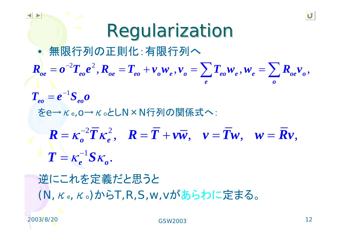**Regularization**  無限行列の正則化:有限行列へ  $\bullet$  $\sum T_{eo} w_e$ ,  $w_e = \sum$  $2\tau$   $2$  $\bm{R}_{oe} = \bm{o}^{-2} \bm{T}_{eo} \bm{e}^2 \,, \bm{R}_{oe} = \bm{T}_{eo} + \bm{\nu}_o \bm{\nu}_e \,, \bm{\nu}_o = \sum \bm{T}_{eo} \bm{\nu}_e \,, \bm{\nu}_e = \sum \bm{R}_{oe} \bm{\nu}_o \,,$ *e o*1  $T_{eo} = e^{-1}S_{eo}$ をe→κe,o→κoとしN×N行列の関係式へ:  $2\overline{T}$  ,  $2$  $R = \kappa^{-2} T \kappa^2$ ,  $R = T + \nu \overline{w}$ ,  $\nu = T \nu$ ,  $w = R \nu$ , , , , *o e*1  $T = \kappa^{-1} S \kappa$ . *e o*

逆にこれを定義だと思うと (N,<sup>κ</sup>e,<sup>κ</sup>o)からT,R,S,w,vがあらわに定まる。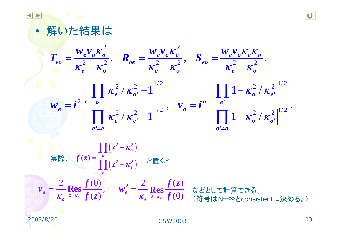



$$
\mathbf{g}(\mathbf{x}) = \frac{\prod_{o} (z^2 - \kappa_o^2)}{\prod_{e} (z^2 - \kappa_e^2)} \quad \text{E}(\mathbf{g})
$$

2 2 2 (0) 2 ( ) , ( ) (0) **Res Res** *<sup>o</sup> <sup>e</sup> <sup>o</sup> <sup>e</sup> <sup>z</sup> <sup>z</sup> <sup>o</sup> <sup>e</sup><sup>f</sup> <sup>f</sup> <sup>z</sup> <sup>v</sup> <sup>w</sup> <sup>f</sup> <sup>z</sup> <sup>f</sup>* <sup>κ</sup> <sup>κ</sup> =κ =κ <sup>=</sup> <sup>=</sup> などとして計算できる。 (符号はN=∞とconsistentに決める。)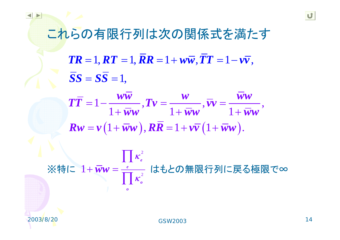これらの有限行列は次の関係式を満たす

 $\boldsymbol{TR} = 1, \boldsymbol{RT} = 1, \boldsymbol{RR} = 1 + \boldsymbol{w}\boldsymbol{\overline{w}}, \boldsymbol{TT} = 1 - \boldsymbol{v}\boldsymbol{\overline{v}},$  $SS = SS = 1$ 

 $\bm{R}\bm{w}=\bm{v}\left( 1+\bm{\bar{w}}\bm{w}\right) , \bm{R}\bm{\bar{R}}=1+\bm{v}\bm{\bar{v}}\left( 1+\bm{\bar{w}}\bm{w}\right) .$  $1 - \frac{\ldots}{1 + \overline{w}w},$   $Tv = \frac{\ldots}{1 + \overline{w}w},$   $\overline{vv} = \frac{\ldots}{1 + \overline{w}w},$  $T\overline{T}$  = 1 –  $\frac{WW}{W}$  ,  $Tv = \frac{W}{W}$  ,  $\overline{v}v = \frac{WW}{W}$  $w$ *ww*  $1 + ww$   $1 + ww$ = 」 ― ―――― <sub>・</sub>』 *v* = ―――― <sub>・</sub> *v v* =  $+WW$   $1+WW$   $1+$ 

2 2 1  $\prod$   $\kappa_e^2$ *e ooww* κ ※特に  $1 + \overline{w} w = \frac{e}{\prod \kappa_o^2}$  はもとの無限行列に戻る極限で∞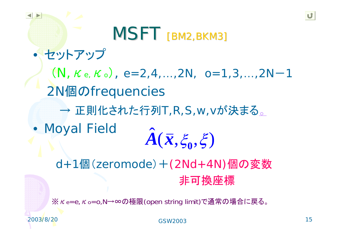MSFT [BM2,BKM3]  $\bullet$  セットアップ  $(N, \kappa_e, \kappa_o), e=2,4,...,2N, o=1,3,...,2N-1$ 2N個のfrequencies  $\longrightarrow$ → 正則化された行列T,R,S,w,vが決まる。 • Moyal Fielc ˆ $A(\bar{\pmb{x}}, \xi_{0}, \xi)$ 

d+1個(zeromode)+(2Nd+4N)個の変数 非可換座標

※κe=e,κo=o,N→∞の極限(open string limit)で通常の場合に戻る。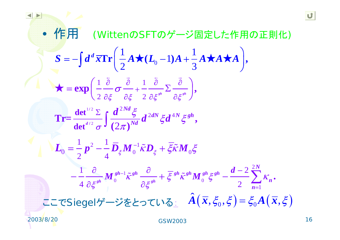• **1**(WittenOSFTO
$$
\vec{y}
$$
— $\vec{y}$  is  $|\vec{y}|$   
\n
$$
S = -\int d^d x \text{Tr} \left( \frac{1}{2} A \star (L_0 - 1) A + \frac{1}{3} A \star A \star A \right),
$$
\n
$$
\star = \exp \left( \frac{1}{2} \frac{\partial}{\partial \xi} \sigma \frac{\partial}{\partial \xi} + \frac{1}{2} \frac{\partial}{\partial \xi} \Sigma \frac{\partial}{\partial \xi} \right),
$$
\n
$$
\text{Tr} = \frac{\det^{1/2} \Sigma}{\det^{1/2} \sigma} \int \frac{d^{2Nd} \xi}{(2\pi)^{Nd}} d^{2dN} \xi d^{4N} \xi^{gh},
$$
\n
$$
L_0 = \frac{1}{2} p^2 - \frac{1}{4} \overline{D}_{\xi} M_0^{-1} \tilde{\kappa} D_{\xi} + \overline{\xi} \tilde{\kappa} M_0 \xi
$$
\n
$$
- \frac{1}{4} \frac{\partial}{\partial \xi} M_0^{gh-1} \tilde{\kappa}^{gh} \frac{\partial}{\partial \xi} \xi^{gh} + \overline{\xi} \xi^{gh} M_0^{gh} \xi^{gh} - \frac{d-2}{2} \sum_{n=1}^{2N} K_n.
$$
\n
$$
\text{LCSiegel}\vec{\gamma} - \vec{\gamma} \xi \xi \circ \tau \cup \xi \quad \hat{A} (\overline{x}, \xi_0, \xi) = \xi_0 A (\overline{x}, \xi)
$$

2003/8/20

 $\blacktriangleleft$ 

 $\blacktriangleright$ 

GSW2003

U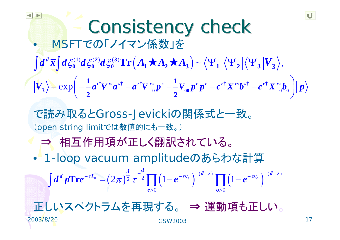Consistency check  $\bullet$  MSFTでの「ノイマン係数」を で読み取るとGross-Jevickiの関係式と一致。 (open string limitでは数値的にも一致。) ⇒ 相互作用項が正しく翻訳されている。 • 1-loop vacuum amplitudeのあらわな計算 正しいスペクトラムを再現する。 <sup>⇒</sup> 運動項も正しい。  $\langle \Psi_1 | \langle \Psi_2 | \partial \xi_0^{(2)} d \xi_0^{(3)} \text{Tr} \left( A_1 \star A_2 \star A_3 \right) - \langle \Psi_1 | \langle \Psi_2 | \langle \Psi_3 | V_3 \rangle \right),$  $\mathbf{p} = \exp \left[ -\frac{a}{a} V^{\dagger} \mathbf{a} - \mathbf{a}^{\dagger} V^{\dagger} \mathbf{0} \mathbf{p} \right] = -V_{00} \mathbf{p} \mathbf{p} - \mathbf{c}^{\dagger} X^{\dagger} \mathbf{b}^{\dagger} - \mathbf{c}^{\dagger} X^{\dagger} \mathbf{0} \mathbf{0} \right]$  $(1)$   $(1)$   $(2)$   $(3)$   $(4)$   $(2)$   $(1)$   $(2)$   $(1)$   $(3)$   $(3)$ 1<sup>*i*</sup>  $\frac{1}{\sqrt{1-\frac{1}{2}}r^2}$  is the set of  $\frac{1}{r}$ **2 2Tr**  $|V_{3}\rangle = \exp \left[-\frac{1}{2}a^{r}V^{rs}a^{s} - a^{r}V^{rs}{}_{0}p^{s} - V_{00}p^{r}p^{r} - c^{r}X^{rs}b^{s} - c^{r}X^{rs}b^{r} \right]$  $\int d^d\,\overline{x} \int d\xi_0^{(1)} d\xi_0^{(2)} d\xi_0^{(3)} \mathrm{Tr}\left(A_1\star A_2\star A_3\right) \sim \left\langle \Psi_1 \left|\left\langle \Psi_2 \left|\left\langle \Psi_3 \right| \Psi_1 \right|\right. \right.$ −−u v u −u v <sub>o</sub> μ −−v o μ μ − u Δ μ −  $=\exp\left(-\frac{1}{2}a^{rt}V^{rs}a^{st}-a^{rt}V^{rs}n^{s}-\frac{1}{2}V_n n^{r}n^{r}-c^{rt}X^{rs}b^{st}-c^{rt}X^{rs}b^{rt}\right)$  $\dot{P} = \exp\Big(-\frac{1}{2}a^{r\dagger}V^{rs}a^{s\dagger} - a^{r\dagger}V^{rs}_{\;\;0}p^s - \frac{1}{2}V_{\;00}p^r\,p^r - c^{r\dagger}X^{rs}b^{s\dagger} - c^{r\dagger}X^{rs}b_{\;0} \Big)$  $\sigma^{0} = \left( 2 \pi \right)^{\frac{a}{2}} \tau^{-\frac{a}{2}} \prod \left( 1 \!-\! e^{-\tau \! \bm{\kappa}_{e}} \, \right)^{\!-(d-2)} \prod \left( 1 \!-\! e^{-\tau \! \bm{\kappa}_{o}} \, \right)^{\!-(d-2)}$ 0 and  $\boldsymbol{0}$  by  $\boldsymbol{0}$  and  $\boldsymbol{0}$  and  $\boldsymbol{0}$  $\int \text{Tr} e^{-\tau L_0} = (2\pi)^2 \tau^{-2}$  |  $(1-e^{-\tau K_e})$  |  $(1-e^{-\tau K_o})$  $d^d p\mathrm{Tr}e^{-\tau L_0} = (2\pi)^{\tfrac{d}{2}}\,\tau^{-\tfrac{d}{2}}\prod \left(1\!-\!e^{-\tau\kappa_e}\,\right)^{-(d-2)}\prod \left(1\!-\!e^{-\tau\kappa_o}\,\right)^{-(d-1)}$ *e o* $>0$  and a set of  $\Omega$  $\int d^d p \text{Tr} e^{-\tau L_0} = (2\pi)^{\frac{1}{2}} \tau^{-\frac{1}{2}} \prod (1 - e^{-\tau K_e})^{-(d-2)} \prod (1 -$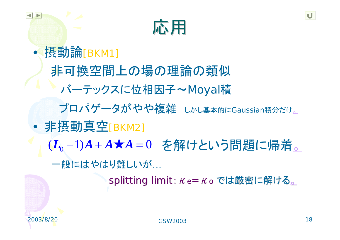

 $\bullet$  摂動論[BKM1] 非可換空間上の場の理論の類似 バーテックスに位相因子~Moyal積 プロパゲータがやや複雑 しかし基本的にGaussian積分だけ。  $\bullet$  非摂動真空[BKM2] (L<sub>0</sub>-1)A+A★A=0 を解けという問題に帰着。 一般にはやはり難しいが… splitting limit:  $\kappa$ e=  $\kappa$ o では厳密に解ける。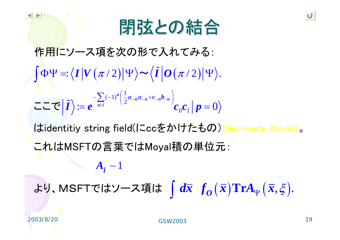

 $\Phi \Psi = \langle \bm{I} \left| \bm{V}\left(\bm{\pi} / 2\right) \right| \Psi \rangle \bm{\sim} \langle \widetilde{\bm{I}} \left| \bm{O}\left(\bm{\pi} / 2\right) \right| \Psi \rangle.$ 1 1 $(-1)^{n} \left( \frac{1}{2} \right)$  $\mathbf{c}_0 \mathbf{c}_1 \, | \, \mathbf{p} = 0$  $\tilde{I}$ <sup>~1</sup>  $\left| \frac{n}{2} a_{-n} a_{-n} + c_{-n} b_{-n} \right|$ *n <sup>c</sup> b*  $I \geq e^{-n \geq 1}$   $\qquad \qquad$   $c_0 c_1 | p$ *A* ∼  $\alpha_{-n} \alpha_{-n} + c_{-n} \alpha_{-n}$ ≥  $-\sum_{n>1}(-1)^n\left(\frac{1}{2}\alpha_{-n}\alpha_{-n}+c_{-n}b_{-n}\right)$  $= e^{-\omega}$   $\omega_0 c_1 + p =$  $\int \! \Phi \Psi =: \! \left \langle I \left \vert V \left( \pi /2 \right ) \right \vert \Psi \right \rangle \! \thicksim \! \left \langle \tilde{I} \right \rangle$  $\sim$   $\prime$   $\prime$ ~ ここでけ はidentitiy string field(にccをかけたもの)[Hashimoto-Itzhaki]。 作用にソース項を次の形で入れてみる: これはMSFTの言葉ではMoyal積の単位元:

 $\frac{\cdot}{O}\left(\boldsymbol{\bar{x}}\right)$  $d\overline{x}$   $f_Q(\overline{x})$ より、MSFTではソース項は  $\int d\overline{x} \; f_o(\overline{x}) \mathrm{Tr} A_\Psi(\overline{x},\xi).$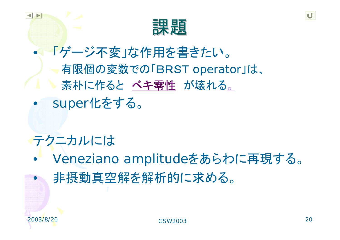

 「ゲージ不変」な作用を書きたい。 有限個の変数での「BRST operator」は、 素朴に作ると ベキ零性 が壊れる。 super化をする。

テクニカルには

 $\bullet$  Veneziano amplitudeをあらわに再現する。  $\bullet$ 非摂動真空解を解析的に求める。

 $\bullet$ 

 $\bullet$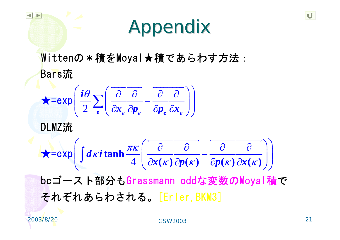# Appendix Appendix

Wittenの\*積をMoyal★積であらわす方法: Bars流

$$
\star = \exp\left(\frac{i\theta}{2}\sum_{e}\left(\frac{\partial}{\partial x_e}\frac{\partial}{\partial p_e} - \frac{\partial}{\partial p_e}\frac{\partial}{\partial x_e}\right)\right)
$$

DLMZ流

$$
\mathbf{x} = \exp\left(\int d\kappa i \tanh\frac{\pi\kappa}{4}\left(\frac{\partial}{\partial x(\kappa)}\frac{\partial}{\partial p(\kappa)} - \frac{\partial}{\partial p(\kappa)}\frac{\partial}{\partial x(\kappa)}\right)\right)
$$

bcゴースト部分もGrassmann oddな変数のMoyal積で それぞれあらわされる。[Erler, BKM3]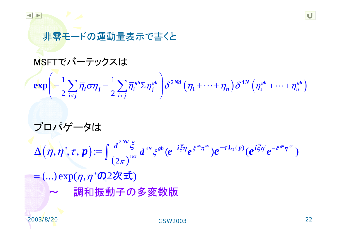### 非零モードの運動量表示で書くと

#### MSFTでバーテックスは

## $\frac{1}{2} \sum_{i < i} \overline \eta_i \sigma \eta_j - \frac{1}{2} \sum_{i < i} \overline \eta_i^{sh} \Sigma \eta_j^{sh} \left[ \delta^{2Nd} \left( \eta_1 + \cdots + \eta_n \right) \delta^{4N} \left( \eta_1^{sh} + \cdots + \eta_n^{sh} \right) \right]$  $\exp\left(-\frac{1}{2}\sum_{i$

## プロパゲータは

$$
\Delta\big(\boldsymbol{\eta},\boldsymbol{\eta}^\prime,\boldsymbol{\tau},\boldsymbol{p}\big)\!\coloneqq\!\int\!\frac{d^{2Nd}\boldsymbol{\xi}}{\left(2\pi\right)^{^{2Nd}}}d^{^{4N}}\boldsymbol{\xi}^{gh}(\boldsymbol{e}^{-i\bar{\boldsymbol{\xi}}\boldsymbol{\eta}}\boldsymbol{e}^{\bar{\boldsymbol{\xi}}^{gh}\boldsymbol{\eta}^{gh}})\boldsymbol{e}^{-\tau L_0(\boldsymbol{p})}(\boldsymbol{e}^{i\bar{\boldsymbol{\xi}}\boldsymbol{\eta}^\prime}\boldsymbol{e}^{-\bar{\boldsymbol{\xi}}^{gh}\boldsymbol{\eta}^{gh}})
$$

 $=$  (…)  $\exp(\eta, \eta$  'の $2$ 次式)  $\sim$ 調和振 動子 の多変数版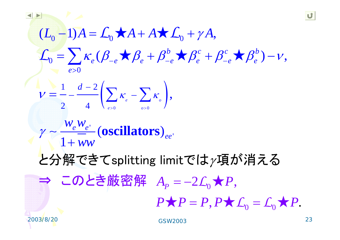$(L_0 - 1)A = L_0 \star A + A \star L_0 + \gamma A,$  $\beta_0 = \sum_{\alpha} K_e (\beta_{-e} \star \beta_e + \beta_{-e}^{\circ} \star \beta_e^c + \beta_{-e}^{\circ} \star \beta_e^{\circ}) - \nu,$ 0>*e* $L_0 - 1$ ) $A = L_0 \star A + A \star L_0 + \gamma A$  $=$   $\left\{\kappa \left( \beta \times \beta + \beta^c \times \beta^c + \beta^c \times \beta^c \right) - \right\}$  $\sum \kappa_e (\beta_{-e} \star \beta_e + \beta_{-e}^b \star \beta_e^c + \beta_{-e}^c \star \beta_e^b)$  $\mathcal{L}_0 = \sum \kappa_e (\beta_{-e} + \beta_{-e}^b + \beta_{-e}^c + \beta_e^c + \beta_{-e}^c + \beta_e^b) - \nu$ 

$$
V=\frac{1}{2}-\frac{d-2}{4}\left(\sum_{e>0}K_e-\sum_{o>0}K_o\right),
$$

$$
\gamma \sim \frac{w_e w_{e'}}{1 + ww} \left( \text{oscillators} \right)_{ee}
$$

と分解できてsplitting limitでは $\gamma$ 項が消える

 $\Rightarrow$  このとき厳密解  $A_p = -2 \mathcal{L}_0 \bigstar P,$  $A_p = -2\mathcal{L}_p \star P$  $P = -2L_0 \star$ 

> $, 1 \wedge \omega_0$   $\omega_0 \wedge 1$ .  $P \star P = P$ ,  $P \star L_0 = L_0 \star P$

GSW2003

'